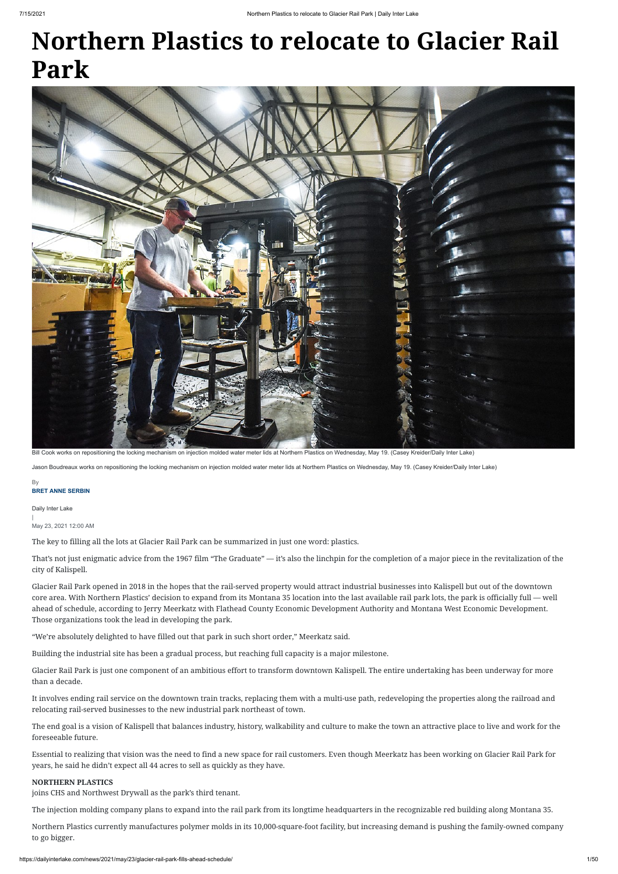# **Northern Plastics to relocate to Glacier Rail Park**

Daily Inter Lake | May 23, 2021 12:00 AM

The key to filling all the lots at Glacier Rail Park can be summarized in just one word: plastics.

That's not just enigmatic advice from the 1967 film "The Graduate" — it's also the linchpin for the completion of a major piece in the revitalization of the city of Kalispell.

Glacier Rail Park opened in 2018 in the hopes that the rail-served property would attract industrial businesses into Kalispell but out of the downtown core area. With Northern Plastics' decision to expand from its Montana 35 location into the last available rail park lots, the park is officially full — well ahead of schedule, according to Jerry Meerkatz with Flathead County Economic Development Authority and Montana West Economic Development. Those organizations took the lead in developing the park.

"We're absolutely delighted to have filled out that park in such short order," Meerkatz said.

Building the industrial site has been a gradual process, but reaching full capacity is a major milestone.

Glacier Rail Park is just one component of an ambitious effort to transform downtown Kalispell. The entire undertaking has been underway for more than a decade.

## **BRET ANNE SERBIN** By

It involves ending rail service on the downtown train tracks, replacing them with a multi-use path, redeveloping the properties along the railroad and relocating rail-served businesses to the new industrial park northeast of town.

The end goal is a vision of Kalispell that balances industry, history, walkability and culture to make the town an attractive place to live and work for the foreseeable future.

Essential to realizing that vision was the need to find a new space for rail customers. Even though Meerkatz has been working on Glacier Rail Park for years, he said he didn't expect all 44 acres to sell as quickly as they have.

## **NORTHERN PLASTICS**

joins CHS and Northwest Drywall as the park's third tenant.

The injection molding company plans to expand into the rail park from its longtime headquarters in the recognizable red building along Montana 35.

Northern Plastics currently manufactures polymer molds in its 10,000-square-foot facility, but increasing demand is pushing the family-owned company to go bigger.



Bill Cook works on repositioning the locking mechanism on injection molded water meter lids at Northern Plastics on Wednesday, May 19. (Casey Kreider/Daily Inter Lake)

Jason Boudreaux works on repositioning the locking mechanism on injection molded water meter lids at Northern Plastics on Wednesday, May 19. (Casey Kreider/Daily Inter Lake)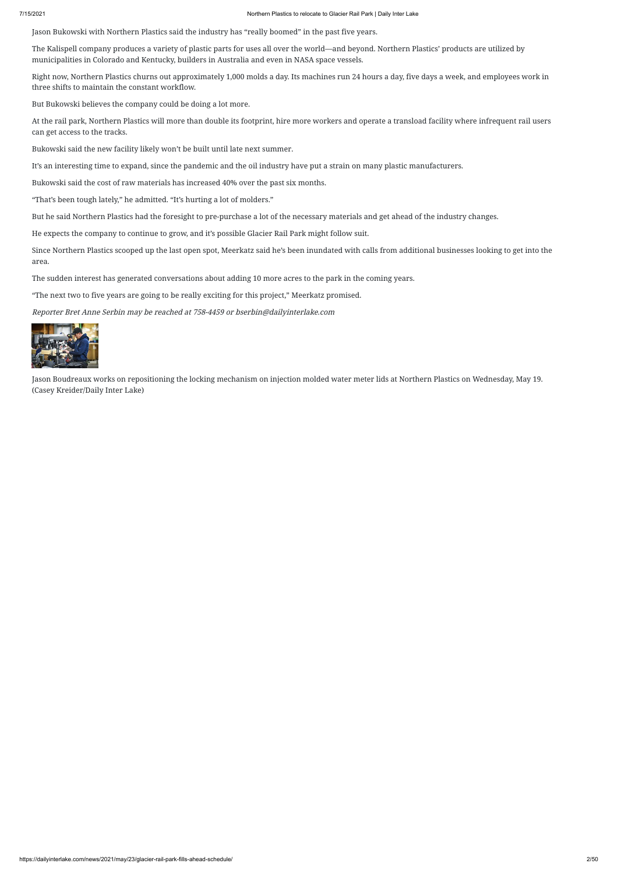Jason Bukowski with Northern Plastics said the industry has "really boomed" in the past five years.

The Kalispell company produces a variety of plastic parts for uses all over the world—and beyond. Northern Plastics' products are utilized by municipalities in Colorado and Kentucky, builders in Australia and even in NASA space vessels.

Right now, Northern Plastics churns out approximately 1,000 molds a day. Its machines run 24 hours a day, five days a week, and employees work in three shifts to maintain the constant workflow.

But Bukowski believes the company could be doing a lot more.

At the rail park, Northern Plastics will more than double its footprint, hire more workers and operate a transload facility where infrequent rail users can get access to the tracks.

Bukowski said the new facility likely won't be built until late next summer.

It's an interesting time to expand, since the pandemic and the oil industry have put a strain on many plastic manufacturers.

Bukowski said the cost of raw materials has increased 40% over the past six months.

"That's been tough lately," he admitted. "It's hurting a lot of molders."

But he said Northern Plastics had the foresight to pre-purchase a lot of the necessary materials and get ahead of the industry changes.

He expects the company to continue to grow, and it's possible Glacier Rail Park might follow suit.

Since Northern Plastics scooped up the last open spot, Meerkatz said he's been inundated with calls from additional businesses looking to get into the area.

The sudden interest has generated conversations about adding 10 more acres to the park in the coming years.

"The next two to five years are going to be really exciting for this project," Meerkatz promised.

Reporter Bret Anne Serbin may be reached at 758-4459 or bserbin@dailyinterlake.com



Jason Boudreaux works on repositioning the locking mechanism on injection molded water meter lids at Northern Plastics on Wednesday, May 19. (Casey Kreider/Daily Inter Lake)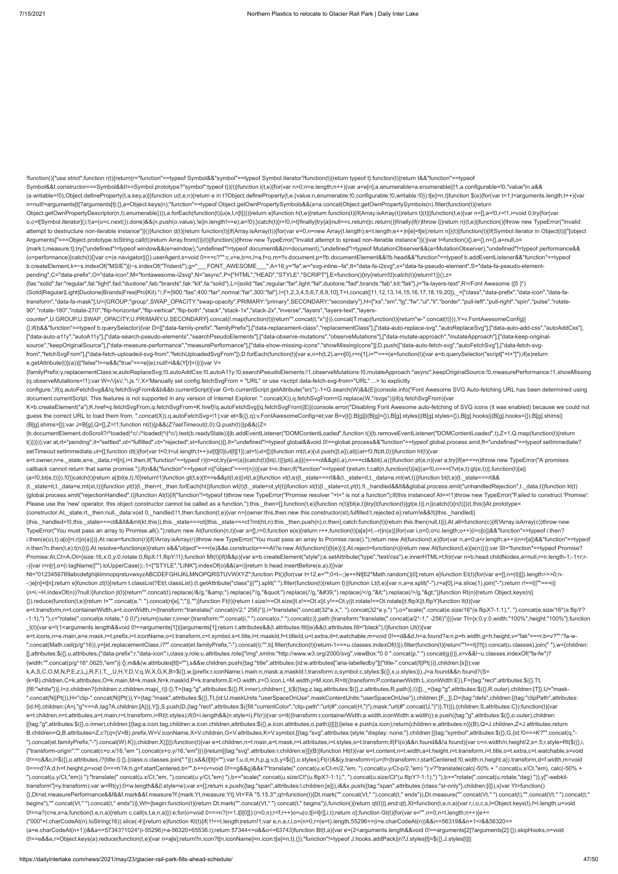n=null!=arguments[t]?arguments[t]:{},a=Object.keys(n);"function"==typeof Object.getOwnPropertySymbols&&(a=a.concat(Object.getOwnPropertySymbols(n).filter(function(t){return Object.getOwnPropertyDescriptor(n,t).enumerable}))),a.forEach(function(t){u(e,t,n[t])})}return e}function h(t,e){return function(t){if(Array.isArray(t))return t}(t)||function(t,e){var n=[],a=!0,r=!1,i=void 0;try{for(var o,c=t[Symbol.iterator]();!(a=(o=c.next()).done)&&(n.push(o.value),!e||n.length!==e);a=!0);}catch(t){r=!0,i=t}finally{try{a||null==c.return|c.return()}finally{if(r)throw i}}return n}(t,e)||function(){throw new TypeError("In attempt to destructure non-iterable instance")}()}function d(t){return function(t){if(Array.isArray(t)){for(var e=0,n=new Array(t.length);e<t.length;e++)n[e]=t[e];return n}}(t)||function(t){if(Symbol.iterator in Object(t)|

!function(){"use strict";function r(t){return(r="function"==typeof Symbol&&"symbol"==typeof Symbol.iterator?function(t){return typeof t}:function(t){return t&&"function"==typeof Symbol&&t.constructor===Symbol&&t!==Symbol.prototype?"symbol":typeof t})(t)}function i(t,e){for(var n=0;n<e.length;n++){var a=e[n];a.enumerable=a.enumerable||!1,a.configurable=!0,"value"in a&& (a.writable=!0),Object.defineProperty(t,a.key,a)}}function u(t,e,n){return e in t?Object.defineProperty(t,e,{value:n,enumerable:!0,configurable:!0,writable:!0}):t[e]=n,t}function \$(e){for(var t=1;t<arguments.length;t++){var

Arguments]"===Object.prototype.toString.call(t))return Array.from(t)}(t)||function(){throw new TypeError("Invalid attempt to spread non-iterable instance")}()}var t=function(){},e={},n={},a=null,o= {mark:t,measure:t};try{"undefined"!=typeof window&&(e=window),"undefined"!=typeof document&&(n=document),"undefined"!=typeof MutationObserver&&(a=MutationObserver),"undefined"!=typeof performance&& (o=performance)}catch(t){}var c=(e.navigator||{}).userAgent,s=void 0===c?"":c,v=e,b=n,l=a,f=o,m=!!v.document,p=!!b.documentElement&&!!b.head&&"function"==typeof b.addEventListener&&"function"==typeof b.createElement,k=~s.indexOf("MSIE")||~s.indexOf("Trident/"),g="\_\_\_FONT\_AWESOME\_\_\_",A=16,y="fa",w="svg-inline--fa",tt="data-fa-i2svg",x="data-fa-pseudo-element",S="data-fa-pseudo-elementpending",C="data-prefix",O="data-icon",M="fontawesome-i2svg",N="async",P=["HTML","HEAD","STYLE","SCRIPT"],E=function(){try{return!0}catch(t){return!1}}(),z=

configure.';if(q.autoFetchSvg&&!q.fetchSvgFrom&&b&&b.currentScript){var G=b.currentScript.getAttribute("src");-1<G.search(W)&&(E||console.info("Font Awesome SVG Auto-fetching URL has been determined using document.currentScript. This features is not supported in any version of Internet Explorer. ".concat(X)),q.fetchSvgFrom=G.replace(W,"/svgs"))}if(q.fetchSvgFrom){var K=b.createElement("a");K.href=q.fetchSvgFrom,q.fetchSvgFrom=K.href}!q.autoFetchSvg||q.fetchSvgFrom||E||(console.error("Disabling Font Awesome auto-fetching of SVG icons (it was enabled) because we could not

(b.documentElement.doScroll?/^loaded|^c/:/^loaded|^i|^c/).test(b.readyState))||b.addEventListener("DOMContentLoaded",function t(){b.removeEventListener("DOMContentLoaded",t),Z=1,Q.map(function(t){return t()})}));var at,rt="pending",it="settled",ot="fulfilled",ct="rejected",st=function(){},lt="undefined"!=typeof global&&void 0!==global.process&&"function"==typeof global.process.emit,ft="undefined"==typeof setImmediate? setTimeout:setImmediate,ut=[];function dt(){for(var t=0;t<ut.length;t++)ut[t][0](ut[t][1]);at=!(ut=[])}function mt(t,e){ut.push([t,e]),at||(at=!0,ft(dt,0))}function ht(t){var

{fas:"solid",far:"regular",fal:"light",fad:"duotone",fab:"brands",fak:"kit",fa:"solid"},L={solid:"fas",regular:"far",light:"fal",duotone:"fad",brands:"fab",kit:"fak"},j="fa-layers-text",R=/Font Awesome ([5 ]\*) (Solid|Regular|Light|Duotone|Brands|Free|Pro|Kit).\*/,F={900:"fas",400:"far",normal:"far",300:"fal"},I=[1,2,3,4,5,6,7,8,9,10],T=I.concat([11,12,13,14,15,16,17,18,19,20]),\_=["class","data-prefix","data-icon","data-fatransform","data-fa-mask"],U={GROUP:"group",SWAP\_OPACITY:"swap-opacity",PRIMARY:"primary",SECONDARY:"secondary"},H=["xs","sm","lg","fw","ul","li","border","pull-left","pull-right","spin","pulse","rotate-90","rotate-180","rotate-270","flip-horizontal","flip-vertical","flip-both","stack","stack-1x","stack-2x","inverse","layers","layers-text","layers-

counter",U.GROUP,U.SWAP\_OPACITY,U.PRIMARY,U.SECONDARY].concat(I.map(function(t){return"".concat(t,"x")})).concat(T.map(function(t){return"w-".concat(t)})),Y=v.FontAwesomeConfig|| {};if(b&&"function"==typeof b.querySelector){var D=[["data-family-prefix","familyPrefix"],["data-replacement-class","replacementClass"],["data-auto-replace-svg","autoReplaceSvg"],["data-auto-add-css","autoAddCss"], ["data-auto-a11y","autoA11y"],["data-search-pseudo-elements","searchPseudoElements"],["data-observe-mutations","observeMutations"],["data-mutate-approach","mutateApproach"],["data-keep-originalsource","keepOriginalSource"],["data-measure-performance","measurePerformance"],["data-show-missing-icons","showMissingIcons"]];D.push(["data-auto-fetch-svg","autoFetchSvg"],["data-fetch-svg-

from","fetchSvgFrom"],["data-fetch-uploaded-svg-from","fetchUploadedSvgFrom"]),D.forEach(function(t){var e,n=h(t,2),a=n[0],r=n[1],i=""===(e=function(t){var e=b.querySelector("script["+t+"]");if(e)return e.getAttribute(t)}(a))||"false"!==e&&("true"===e||e);null!=i&&(Y[r]=i)})}var V= {familyPrefix:y,replacementClass:w,autoReplaceSvg:!0,autoAddCss:!0,autoA11y:!0,searchPseudoElements:!1,observeMutations:!0,mutateApproach:"async",keepOriginalSource:!0,measurePerformance:!1,showMissing

(q.observeMutations=!1);var W=/\/js\/.\*\.js.\*/,X='Manually set config.fetchSvgFrom = "URL" or use <script data-fetch-svg-from="URL" ...> to explicitly

e=t.transform,n=t.containerWidth,a=t.iconWidth,r={transform:"translate(".concat(n/2," 256)")},i="translate(".concat(32\*e.x,", ").concat(32\*e.y,") "),o="scale(".concat(e.size/16\*(e.flipX?-1:1),", ").concat(e.size/16\*(e.flipY? -1:1),") "),c="rotate(".concat(e.rotate," 0 0)");return{outer:r,inner:{transform:"".concat(i,"").concat(o," ").concat(c)},path:{transform:"translate(".concat(a/2\*-1,"-256)")}}}var Tt={x:0,y:0,width:"100%",height:"100%"};fu

-;)e[n]=t[n];return e}function zt(t){return t.classList?Et(t.classList):(t.getAttribute("class")||"").split(" ").filter(function(t){return t})}function Lt(t,e){var n,a=e.split("-"),r=a[0],i=a.slice(1).join("-");return r!== (n=i,~H.indexOf(n))?null:i}function jt(t){return"".concat(t).replace(/&/g,"&").replace(/"/g,""").replace(/'/g,"'").replace(/</g,"&lt;").replace(/>/g,"&gt;")}function Rt(n){return Object.keys(n||

(B[g].shims=[]);var J=B[g],Q=[],Z=!1;function nt(t){p&&(Z?setTimeout(t,0):Q.push(t))}p&&((Z=

guess the correct URL to load them from. ".concat(X)),q.autoFetchSvg=!1);var et=\$({},q);v.FontAwesomeConfig=et;var B=v||{};B[g]||(B[g]={}),B[g].styles||(B[g].styles={}),B[g].hooks||(B[g].hooks={}),B[g].shims||

(a=!0,bt(e,t))}),!0}}catch(t){return a||bt(e,t),!0}return!1}function gt(t,e){t!==e&&pt(t,e)||vt(t,e)}function vt(t,e){t.\_state===rt&&(t.\_state=it,t.\_data=e,mt(wt,t))}function bt(t,e){t.\_state===rt&& (t.\_state=it,t.\_data=e,mt(xt,t))}function yt(t){t.\_then=t.\_then.forEach(ht)}function wt(t){t.\_state=ot,yt(t)}function xt(t){t.\_state=ct,yt(t),lt.\_handled&&It&&global.process.emit("unhandledRejection",t.\_data,t)}function kt {global.process.emit("rejectionHandled",t)}function At(t){if("function"!=typeof t)throw new TypeError("Promise resolver "+t+" is not a function");if(this instanceof At==!1)throw new TypeError("Failed to construct 'Promise': Please use the 'new' operator, this object constructor cannot be called as a function.");this.\_then=[],function(t,e){function n(t){bt(e,t)}try{t(function(t){gt(e,t)},n)}catch(t){n(t)}}(t,this)}At.prototype= {constructor:At,\_state:rt,\_then:null,\_data:void 0,\_handled:!1,then:function(t,e){var n={owner:this,then:new this.constructor(st),fulfilled:t,rejected:e};return!e&&!t||this.\_handled||

e=t.owner,n=e.\_state,a=e.\_data,r=t[n],i=t.then;if("function"==typeof r){n=ot;try{a=r(a)}catch(t){bt(i,t)}}pt(i,a)||(n===ot&&pt(i,a),n===ct&&bt(i,a))}function pt(e,n){var a;try{if(e===n)throw new TypeError("A promises callback cannot return that same promise.");if(n&&("function"==typeof n||"object"===r(n))){var t=n.then;if("function"==typeof t)return t.call(n,function(t){a||(a=!0,n===t?vt(e,t):gt(e,t))},function(t){a||

(this.\_handled=!0,this.\_state===ct&&lt&&mt(kt,this)),this.\_state===ot||this.\_state===ct?mt(ht,n):this.\_then.push(n),n.then},catch:function(t){return this.then(null,t)}},At.all=function(c){if(!Array.isArray(c))throw new TypeError("You must pass an array to Promise.all().");return new At(function(n,t){var a=[],r=0;function e(e){return r++,function(t){a[e]=t,--r||n(a)}}for(var i,o=0;o<c.length;o++)(i=c[o])&&"function"==typeof i.then? i.then(e(o),t):a[o]=i;r||n(a)})},At.race=function(r){if(!Array.isArray(r))throw new TypeError("You must pass an array to Promise.race().");return new At(function(t,e){for(var n,a=0;a<r.length;a++)(n=r[a])&&"function"==type n.then?n.then(t,e):t(n)})},At.resolve=function(e){return e&&"object"===r(e)&&e.constructor===At?e:new At(function(t){t(e)})},At.reject=function(n){return new At(function(t,e){e(n)})};var St="function"==typeof Promise? Promise:At,Ct=A,Ot={size:16,x:0,y:0,rotate:0,flipX:!1,flipY:!1};function Mt(t){if(t&&p){var e=b.createElement("style");e.setAttribute("type","text/css"),e.innerHTML=t;for(var n=b.head.childNodes,a=null,r=n.length-1;-1<r;r- -){var i=n[r],o=(i.tagName||"").toUpperCase();-1<["STYLE","LINK"].indexOf(o)&&(a=i)}return b.head.insertBefore(e,a),t}}var Nt="0123456789abcdefghijklmnopqrstuvwxyzABCDEFGHIJKLMNOPQRSTUVWXYZ";function Pt(){for(var t=12,e="";0<t--;)e+=Nt[62\*Math.random()|0];return e}function Et(t){for(var e=[],n=(t||[]).length>>>0;n-

{}).reduce(function(t,e){return t+"".concat(e,": ").concat(n[e],";")},"")}function Ft(t){return t.size!==Ot.size||t.x!==Ot.x||t.y!==Ot.y||t.rotate!==Ot.rotate||t.flipX||t.flipY}function It(t){var

\_t(t){var e=!(1<arguments.length&&void 0!==arguments[1])||arguments[1];return t.attributes&&(t.attributes.fill||e)&&(t.attributes.fill="black"),t}function Ut(t){var e=t.icons,n=e.main,a=e.mask,r=t.prefix,i=t.iconName,o=t.transform,c=t.symbol,s=t.title,l=t.maskId,f=t.titleId,u=t.extra,d=t.watchable,m=void 0!==d&&d,h=a.found?a:n,p=h.width,g=h.height,v="fak"===r,b=v?"":"fa-w- ".concat(Math.ceil(p/g\*16)),y=[et.replacementClass,i?"".concat(et.familyPrefix,"-").concat(i):"",b].filter(function(t){return-1===u.classes.indexOf(t)}).filter(function(t){return"!==t||!!t}).concat(u.classes).join(""),w={c [],attributes:\$({},u.attributes,{"data-prefix":r,"data-icon":i,class:y,role:u.attributes.role||"img",xmlns:"http://www.w3.org/2000/svg",viewBox:"0 0 ".concat(p," ").concat(g)})},x=v&&!~u.classes.indexOf("fa-fw")? {width:"".concat(p/g\*16\*.0625,"em")}:{};m&&(w.attributes[tt]=""),s&&w.children.push({tag:"title",attributes:{id:w.attributes["aria-labelledby"]||"title-".concat(f||Pt())},children:[s]});var k,A,S,C,O,M,N,P,E,z,L,j,R,F,I,T,\_,U,H,Y,D,V,q,W,X,G,K,B=\$({},w,{prefix:r,iconName:i,main:n,mask:a,maskId:l,transform:o,symbol:c,styles:\$({},x,u.styles)}),J=a.found&&n.found?(S= (k=B).children,C=k.attributes,O=k.main,M=k.mask,N=k.maskId,P=k.transform,E=O.width,z=O.icon,L=M.width,j=M.icon,R=It({transform:P,containerWidth:L,iconWidth:E}),F={tag:"rect",attributes:\$({},Tt, {fill:"white"})},l=z.children?{children:z.children.map(\_t)}:{},T={tag:"g",attributes:\$({},R.inner),children:[\_t(\$({tag:z.tag,attributes:\$({},Z.attributes,R.path)},l))]},\_={tag:"g",attributes:\$({},R.outer),children:[T]},U=" ".concat(N||Pt()),H="clip-".concat(N||Pt()),Y={tag:"mask",attributes:\$({},Tt,{id:U,maskUnits:"userSpaceOnUse",maskContentUnits:"userSpaceOnUse"}),children:[F,\_]},D={tag:"defs",children:[{tag:"clipPath",attributes: {id:H},children:(A=j,"g"===A.tag?A.children:[A])},Y]},S.push(D,{tag:"rect",attributes:\$({fill:"currentColor","clip-path":"url(#".concat(H,")"),mask:"url(#".concat(U,")")},Tt)}),{children:S,attributes:C}):function(t){var e=t.children,n=t.attributes,a=t.main,r=t.transform,i=Rt(t.styles);if(0<i.length&&(n.style=i),Ft(r)){var o=It({transform:r,containerWidth:a.width,iconWidth:a.width});e.push({tag:"g",attributes:\$({},o.outer),children: [{tag:"g",attributes:\$({},o.inner),children:[{tag:a.icon.tag,children:a.icon.children,attributes:\$({},a.icon.attributes,o.path)}]}]})}else e.push(a.icon);return{children:e,attributes:n}}(B),Q=J.children,Z=J.attributes;return B.children=Q,B.attributes=Z,c?(q=(V=B).prefix,W=V.iconName,X=V.children,G=V.attributes,K=V.symbol,[{tag:"svg",attributes:{style:"display: none;"},children:[{tag:"symbol",attributes:\$({},G,{id:!0===K?"".concat(q,"- ").concat(et.familyPrefix,"-").concat(W):K}),children:X}]}]):function(t){var e=t.children,n=t.main,a=t.mask,r=t.attributes,i=t.styles,o=t.transform;if(Ft(o)&&n.found&&!a.found){var c=n.width/n.height/2,s=.5;r.style=Rt(\${{} {"transform-origin":"".concat(c+o.x/16,"em ").concat(s+o.y/16,"em")}))}return[{tag:"svg",attributes:r,children:e}]}(B)}function Ht(t){var e=t.content,n=t.width,a=t.height,r=t.transform,i=t.title,o=t.extra,c=t.watchable,s=v 0!==c&&c,l=\$({},o.attributes,i?{title:i}:{},{class:o.classes.join(" ")});s&&(l[tt]="");var f,u,d,m,h,p,g,v,b,y=\$({},o.styles);Ft(r)&&(y.transform=(u=(f={transform:r,startCentered:!0,width:n,height:a}).transform,d=f.width,m 0===d?A:d,h=f.height,p=void 0===h?A:h,g=f.startCentered,b="",b+=(v=void 0!==g&&g)&&k?"translate(".concat(u.x/Ct-m/2,"em, ").concat(u.y/Ct-p/2,"em) "):v?"translate(calc(-50% + ".concat(u.x/Ct,"em), calc(-50% + ").concat(u.y/Ct,"em)) "):"translate(".concat(u.x/Ct,"em, ").concat(u.y/Ct,"em) "),b+="scale(".concat(u.size/Ct\*(u.flipX?-1:1),", ").concat(u.size/Ct\*(u.flipY?-1:1),") "),b+="rotate(".concat(u.rotate,"deg) ")),y["-webkittransform"]=y.transform);var w=Rt(y);0<w.length&&(l.style=w);var x=[];return x.push({tag:"span",attributes:l,children:[e]}),i&&x.push({tag:"span",attributes:{class:"sr-only"},children:[i]}),x}var Yt=function() {},Dt=et.measurePerformance&&f&&f.mark&&f.measure?f:{mark:Yt,measure:Yt},Vt='FA "5.15.3"',qt=function(t){Dt.mark("".concat(Vt," ").concat(t," ends")),Dt.measure("".concat(Vt," ").concat(t),"".concat(Vt," ").concat(t," begins"),"".concat(Vt," ").concat(t," ends"))},Wt={begin:function(t){return Dt.mark("".concat(Vt," ").concat(t," begins")),function({feturn qt(t)}},end:qt},Xt=function(t,e,n,a){var r,i,o,c,s,l=Object.keys(t),f=l.length,u=v 0!==a?(c=e,s=a,function(t,e,n,a){return c.call(s,t,e,n,a)}):e;for(o=void 0===n?(r=1,t[l[0]]):(r=0,n);r<f;r++)o=u(o,t[i=l[r]],i,t);return o};function Gt(t){for(var e="",n=0;n<t.length;n++){e+= ("000"+t.charCodeAt(n).toString(16)).slice(-4)}return e}function Kt(t){if(1!==t.length)return!1;var e,n,a,r,i,o=(n=0,r=(e=t).length,55296<=(i=e.charCodeAt(n))&&i<=56319&&n+1<r&&56320<= (a=e.charCodeAt(n+1))&&a<=57343?1024\*(i-55296)+a-56320+65536:i);return 57344<=o&&o<=63743}function Bt(t,a){var e=(2<arguments.length&&void 0!==arguments[2]?arguments[2]:{}).skipHooks,n=void 0!==e&&e,r=Object.keys(a).reduce(function(t,e){var n=a[e];return!!n.icon?t[n.iconName]=n.icon:t[e]=n,t},{});"function"!=typeof J.hooks.addPack||n?J.styles[t]=\$({},J.styles[t]||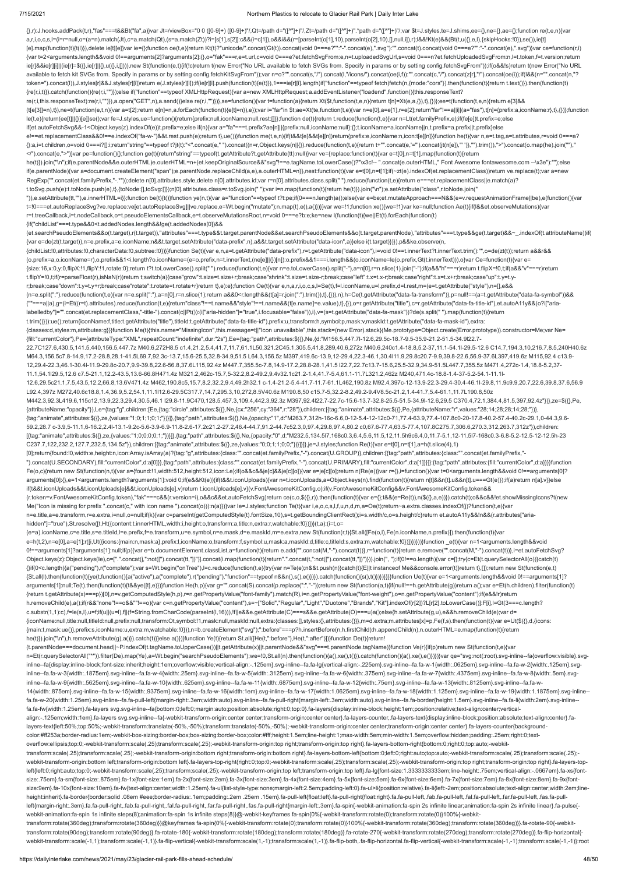### 7/15/2021 Northern Plastics to relocate to Glacier Rail Park | Daily Inter Lake

 $\{1, r\}$ :J.hooks.addPack(t,r),"fas"===t&&Bt("fa",a)}var Jt=/viewBox="0 0 ([0-9]+) ([0-9]+)"/,Qt=/path d="([^"]+)"/,Zt=/path d="([^"]+)".\*path d="([^"]+)";var \$t=J.styles,te=J.shims,ee={},ne={},ae={};function re(t,e,n){va a,r,i,o,c,s,l=(i=r=null,o=(a=n).match(Jt),c=a.match(Qt),(s=a.match(Zt))?i=[s[1],s[2]]:c&&(i=c[1]),o&&i&&(r=[parseInt(o[1],10),parseInt(o[2],10),[],null,i]),r);l&&!Kt(e)&&(Bt(t,u({},e,l),{skipHooks:!0}),se()),ie[t] [e].map(function(t){t(l)}),delete ie[t][e]}var ie={};function oe(t,e){return Kt(t)?"unicode/".concat(Gt(t)).concat(void 0===e?"":"-".concat(e),".svg"):"".concat(toid 0===e?"":"-".concat(e),".svg")}var ce=function(r,i) {var t=2<arguments.length&&void 0!==arguments[2]?arguments[2]:{},o="fak"===r,e=t.url,c=void 0===e?et.fetchSvgFrom:e,n=t.uploadedSvgUrl,s=void 0===n?et.fetchUploadedSvgFrom:n,l=t.token,f=t.version;return ie[r]&&ie[r][i]]|(ie[r]=\$({},ie[r]||{},u({},i,[]))),new St(function(e,t){if(!c)return t(new Error("No URL available to fetch SVGs from. Specify in params or by setting config.fetchSvgFrom"));if(o&&!s)return t(new Error("No available to fetch kit SVGs from. Specify in params or by setting config.fetchKitSvgFrom"));var n=o?"".concat(s,"/").concat(l,"/icons/").concat(oe(i,f)):"".concat(oe(i,f):"".concat(z[r],"/").concat(oe(i));if(l&&(n="".conca token=").concat(l)),J.styles[r]&&J.styles[r]i])return e(J.styles[r][i]);if(ie[r][i].push(function(t){e(t)}),1===ie[r][i].length)if("function"==typeof fetch)fetch(n,{mode:"cors"}).then(function(t){return t.text()}).then(fun {re(r,i,t)}).catch(function(){re(r,i,"")});else if("function"==typeof XMLHttpRequest){var a=new XMLHttpRequest;a.addEventListener("loadend",function(){this.responseText? re(r,i,this.responseText):re(r,i,"")}),a.open("GET",n),a.send()}else re(r,i,"")})},se=function(){var t=function(a){return Xt(\$t,function(t,e,n){return t[n]=Xt(e,a,{}),t},{})};ee=t(function(t,e,n){return e[3]&& (t[e[3]]=n),t}),ne=t(function(e,t,n){var a=t[2];return e[n]=n,a.forEach(function(t){e[t]=n}),e});var i="far"in \$t;ae=Xt(te,function(t,e){var n=e[0],a=e[1],r=e[2];return"far"!==a||i||(a="fas"),t[n]={prefix:a,iconName:r},t}, le(t,e){return(ee[t]||{})[e]}se();var fe=J.styles,ue=function(){return{prefix:null,iconName:null,rest:[]}};function de(t){return t.reduce(function(t,e){var n=Lt(et.familyPrefix,e);if(fe[e])t.prefix=e;else if(et.autoFetchSvg&&-1<Object.keys(z).indexOf(e))t.prefix=e;else if(n){var a="fa"===t.prefix?ae[n]||{prefix:null,iconName:null}:{};t.iconName=a.iconName||n,t.prefix=a.prefix||t.prefix}else e!==et.replacementClass&&0!==e.indexOf("fa-w-")&&t.rest.push(e);return t},ue())}function me(t,e,n){if(t&&t[e]&&t[e][n])return{prefix:e,iconName:n,icon:t[e][n]}}function he(t){var n,e=t.tag,a=t.attributes,r=void 0===a? {}:a,i=t.children,o=void 0===i?[]:i;return"string"==typeof t?jt(t):"<".concat(e," ").concat((n=r,Object.keys(n||{}).reduce(function(t,e){return t+"".concat(e,=").concat(jt(n[e]),"")},"").trim()),">").concat(o.map(he).join( </").concat(e,">")}var pe=function(){};function ge(t){return"string"==typeof(t.getAttribute?t.getAttribute(tt):null)}var ve={replace:function(t){var e=t[0],n=t[1].map(function(t){return he(t)}).join("\n");if(e.parentNode&&e.outerHTML)e.outerHTML=n+(et.keepOriginalSource&&"svg"!==e.tagName.toLowerCase()?"\x3c!-- ".concat(e.outerHTML," Font Awesome fontawesome.com --\x3e"):"");else if(e.parentNode){var a=document.createElement("span");e.parentNode.replaceChild(a,e),a.outerHTML=n}},nest:function(t){var e=t[0],n=t[1];if(~zt(e).indexOf(et.replacementClass))return ve.replace(t);var a=new RegExp("".concat(et.familyPrefix,"-.\*"));delete n[0].attributes.style,delete n[0].attributes.id;var r=n[0].attributes.class.split(" ").reduce(function(t,e){return e===et.replacementClass||e.match(a)? t.toSvg.push(e):t.toNode.push(e),t},{toNode:[],toSvg:[]});n[0].attributes.class=r.toSvg.join(" ");var i=n.map(function(t){return he(t)}).join("\n");e.setAttribute("class",r.toNode.join(" ")),e.setAttribute(tt,""),e.innerHTML=i}};function be(t){t()}function ye(n,t){var a="function"==typeof t?t:pe;if(0===n.length)a();else{var e=be;et.mutateApproach===N&&(e=v.requestAnimationFrame||be),e(function(){var t=!0===et.autoReplaceSvg?ve.replace:ve[et.autoReplaceSvg]||ve.replace,e=Wt.begin("mutate");n.map(t),e(),a()})}}var we=!1;function xe(){we=!1}var ke=null;function Ae(t){if(l&&et.observeMutations){var r=t.treeCallback,i=t.nodeCallback,o=t.pseudoElementsCallback,e=t.observeMutationsRoot,n=void 0===e?b:e;ke=new l(function(t){we||Et(t).forEach(function(t) {if("childList"===t.type&&0<t.addedNodes.length&&!ge(t.addedNodes[0])&& (et.searchPseudoElements&&o(t.target),r(t.target)),"attributes"===t.type&&t.target.parentNode&&et.searchPseudoElements&&o(t.target.parentNode),"attributes"===t.type&&ge(t.target)&&~\_.indexOf(t.attributeName))if( {var e=de(zt(t.target)),n=e.prefix,a=e.iconName;n&&t.target.setAttribute("data-prefix",n),a&&t.target.setAttribute("data-icon",a)}else i(t.target)})}),p&&ke.observe(n, {childList:!0,attributes:!0,characterData:!0,subtree:!0})}}function Se(t){var e,n,a=t.getAttribute("data-prefix"),r=t.getAttribute("data-icon"),i=void 0!==t.innerText?t.innerText.trim():"",o=de(zt(t));return a&&r&& (o.prefix=a,o.iconName=r),o.prefix&&1<i.length?o.iconName=(e=o.prefix,n=t.innerText,(ne[e]||{})[n]):o.prefix&&1===i.length&&(o.iconName=le(o.prefix,Gt(t.innerText))),o}var Ce=function(t){var e= {size:16,x:0,y:0,flipX:!1,flipY:!1,rotate:0};return t?t.toLowerCase().split(" ").reduce(function(t,e){var n=e.toLowerCase().split("-"),a=n[0],r=n.slice(1).join("-");if(a&&"h"===r)return t.flipX=!0,t;if(a&&"v"===r)return t.flipY=!0,t;if(r=parseFloat(r),isNaN(r))return t;switch(a){case"grow":t.size=t.size+r;break;case"shrink":t.size=t.size-r;break;case"left":t.x=t.x-r;break;case"right":t.x=t.x+r;break;case"up":t.y=t.yr;break;case"down":t.y=t.y+r;break;case"rotate":t.rotate=t.rotate+r}return t},e):e};function Oe(t){var e,n,a,r,i,o,c,s,l=Se(t),f=l.iconName,u=l.prefix,d=l.rest,m=(e=t.getAttribute("style"),n=[],e&& (n=e.split(";").reduce(function(t,e){var n=e.split(":"),a=n[0],r=n.slice(1);return a&&0<r.length&&(t[a]=r.join(":").trim()),t},{})),n),h=Ce(t.getAttribute("data-fa-transform")),p=null!==(a=t.getAttribute("data-fa-symbol"))&& (""===a||a),g=(i=Et((r=t).attributes).reduce(function(t,e){return"class"!==t.name&&"style"!==t.name&&(t[e.name]=e.value),t},{}),o=r.getAttribute("title"),c=r.getAttribute("data-fa-title-id"),et.autoA11y&&(o?i["arialabelledby"]="".concat(et.replacementClass,"-title-").concat(c||Pt()):(i["aria-hidden"]="true",i.focusable="false")),i),v=(s=t.getAttribute("data-fa-mask"))?de(s.split(" ").map(function(t){return t.trim()})):ue();return{iconName:f,title:t.getAttribute("title"),titleId:t.getAttribute("data-fa-title-id"),prefix:u,transform:h,symbol:p,mask:v,maskId:t.getAttribute("data-fa-mask-id"),extra: {classes:d,styles:m,attributes:g}}}function Me(t){this.name="MissingIcon",this.message=t||"Icon unavailable",this.stack=(new Error).stack}(Me.prototype=Object.create(Error.prototype)).constructor=Me;var Ne= {fill:"currentColor"},Pe={attributeType:"XML",repeatCount:"indefinite",dur:"2s"},Ee={tag:"path",attributes:\$({},Ne,{d:"M156.5,447.7l-12.6,29.5c-18.7-9.5-35.9-21.2-51.5-34.9l22.7- 22.7C127.6,430.5,141.5,440,156.5,447.7z M40.6,272H8.5 c1.4,21.2,5.4,41.7,11.7,61.1L50,321.2C45.1,305.5,41.8,289,40.6,272z M40.6,240c1.4-18.8,5.2-37,11.1-54.1l-29.5-12.6 C14.7,194.3,10,216.7,8.5,240H40.6z M64.3,156.5c7.8-14.9,17.2-28.8,28.1-41.5L69.7,92.3c-13.7,15.6-25.5,32.8-34.9,51.5 L64.3,156.5z M397,419.6c-13.9,12-29.4,22.3-46.1,30.4l11.9,29.8c20.7-9.9,39.8-22.6,56.9-37.6L397,419.6z M115,92.4 c13.9- 12,29.4-22.3,46.1-30.4l-11.9-29.8c-20.7,9.9-39.8,22.6-56.8,37.6L115,92.4z M447.7,355.5c-7.8,14.9-17.2,28.8-28.1,41.5 l22.7,22.7c13.7-15.6,25.5-32.9,34.9-51.5L447.7,355.5z M471.4,272c-1.4,18.8-5.2,37- 11.1,54.1l29.5,12.6 c7.5-21.1,12.2-43.5,13.6-66.8H471.4z M321.2,462c-15.7,5-32.2,8.2-49.2,9.4v32.1c21.2-1.4,41.7-5.4,61.1-11.7L321.2,462z M240,471.4c-18.8-1.4-37-5.2-54.1-11.1l-12.6,29.5c21.1,7.5,43.5,12.2,66.8,13.6V471.4z M462,190.8c5,15.7,8.2,32.2,9.4,49.2h32.1 c-1.4-21.2-5.4-41.7-11.7-61.1L462,190.8z M92.4,397c-12-13.9-22.3-29.4-30.4-46.1l-29.8,11.9c9.9,20.7,22.6,39.8,37.6,56.9 L92.4,397z M272,40.6c18.8,1.4,36.9,5.2,54.1,11.1l12.6-29.5C317.7,14.7,295.3,10,272,8.5V40.6z M190.8,50 c15.7-5,32.2-8.2,49.2-9.4V8.5c-21.2,1.4-41.7,5.4-61.1,11.7L190.8,50z M442.3,92.3L419.6,115c12,13.9,22.3,29.4,30.5,46.1 l29.8-11.9C470,128.5,457.3,109.4,442.3,92.3z M397,92.4l22.7-22.7c-15.6-13.7-32.8-25.5-51.5-34.9l-12.6,29.5 C370.4,72.1,384.4,81.5,397,92.4z"})},ze=\$({},Pe, {attributeName:"opacity"}),Le={tag:"g",children:[Ee,{tag:"circle",attributes:\$({},Ne,{cx:"256",cy:"364",r:"28"}),children:[{tag:"animate",attributes:\$({},Pe,{attributeName:"r",values:"28;14;28;28;14;28;"})}, {tag:"animate",attributes:\$({},ze,{values:"1;0;1;1;0;1;"})}]},{tag:"path",attributes:\$({},Ne,{opacity:"1",d:"M263.7,312h-16c-6.6,0-12-5.4-12-12c0-71,77.4-63.9,77.4-107.8c0-20-17.8-40.2-57.4-40.2c-29.1,0-44.3,9.6- 59.2,28.7 c-3.9,5-11.1,6-16.2,2.4l-13.1-9.2c-5.6-3.9-6.9-11.8-2.6-17.2c21.2-27.2,46.4-44.7,91.2-44.7c52.3,0,97.4,29.8,97.4,80.2 c0,67.6-77.4,63.5-77.4,107.8C275.7,306.6,270.3,312,263.7,312z"}),children: [{tag:"animate",attributes:\$({},ze,{values:"1;0;0;0;0;1;"})}]},{tag:"path",attributes:\$({},Ne,{opacity:"0",d:"M232.5,134.5l7,168c0.3,6.4,5.6,11.5,12,11.5h9c6.4,0,11.7-5.1,12-11.5l7-168c0.3-6.8-5.2-12.5-12-12.5h-23 C237.7,122,232.2,127.7,232.5,134.5z"}),children:[{tag:"animate",attributes:\$({},ze,{values:"0;0;1;1;0;0;"})}]}]},je=J.styles;function Re(t){var e=t[0],n=t[1],a=h(t.slice(4),1) [0];return{found:!0,width:e,height:n,icon:Array.isArray(a)?{tag:"g",attributes:{class:"".concat(et.familyPrefix,"-").concat(U.GROUP)},children:[{tag:"path",attributes:{class:"".concat(et.familyPrefix,"- ").concat(U.SECONDARY),fill:"currentColor",d:a[0]}},{tag:"path",attributes:{class:"".concat(et.familyPrefix,"-").concat(U.PRIMARY),fill:"currentColor",d:a[1]}}]}:{tag:"path",attributes:{fill:"currentColor",d:a}}}}function Fe(o,c){return new St(function(n,t){var a={found:!1,width:512,height:512,icon:Le};if(o&&c&&je[c]&&je[c][o]){var e=je[c][o];return n(Re(e))}var r={},i=function(){var t=0<arguments.length&&void 0!==arguments[0]? arguments[0]:{},e=1<arguments.length?arguments[1]:void 0;if(e&&Kt(e)){if(t&&t.iconUploads){var n=t.iconUploads,a=Object.keys(n).find(function(t){return n[t]&&n[t].u&&n[t].u===Gt(e)});if(a)return n[a].v}}else if(t&&t.iconUploads&&t.iconUploads[e]&&t.iconUploads[e].v)return t.iconUploads[e].v}(v.FontAwesomeKitConfig,o);if(v.FontAwesomeKitConfig&&v.FontAwesomeKitConfig.token&& (r.token=v.FontAwesomeKitConfig.token),"fak"===c&&(r.version=i),o&&c&&et.autoFetchSvg)return ce(c,o,\$({},r)).then(function(t){var e={};t&&(e=Re(t)),n(\$({},a,e))}).catch(t);o&&c&&!et.showMissingIcons?t(new Me("Icon is missing for prefix ".concat(c," with icon name ").concat(o))):n(a)})}var le=J.styles;function Te(t){var i,e,o,c,s,l,f,u,n,d,m,a=Oe(t);return~a.extra.classes.indexOf(j)?function(t,e){var n=e.title,a=e.transform,r=e.extra,i=null,o=null;if(k){var c=parseInt(getComputedStyle(t).fontSize,10),s=t.getBoundingClientRect();i=s.width/c,o=s.height/c}return et.autoA11y&&!n&&(r.attributes["ariahidden"]="true"),St.resolve([t,Ht({content:t.innerHTML,width:i,height:o,transform:a,title:n,extra:r,watchable:!0})])}(t,a):(i=t,o= (e=a).iconName,c=e.title,s=e.titleId,l=e.prefix,f=e.transform,u=e.symbol,n=e.mask,d=e.maskId,m=e.extra,new St(function(r,t){St.all([Fe(o,l),Fe(n.iconName,n.prefix)]).then(function(t){var e=h(t,2),n=e[0],a=e[1];r([i,Ut({icons:{main:n,mask:a},prefix:l,iconName:o,transform:f,symbol:u,mask:a,maskId:d,title:c,titleId:s,extra:m,watchable:!0})])})}))}function \_e(t){var n=1<arguments.length&&void 0!==arguments[1]?arguments[1]:null;if(p){var e=b.documentElement.classList,a=function(t){return e.add("".concat(M,"-").concat(t))},r=function(t){return e.remove("".concat(M,"-").concat(t))},i=et.autoFetchSvg? Object.keys(z):Object.keys(le),o=[".".concat(j,":not([").concat(tt,"])")].concat(i.map(function(t){return".".concat(t,":not([").concat(tt,"])")})).join(", ");if(0!==o.length){var c=[];try{c=Et(t.querySelectorAll(o))}catch( {}if(0<c.length){a("pending"),r("complete");var s=Wt.begin("onTree"),l=c.reduce(function(t,e){try{var n=Te(e);n&&t.push(n)}catch(t){E||t instanceof Me&&console.error(t)}return t},[]);return new St(function(e,t) {St.all(l).then(function(t){ye(t,function(){a("active"),a("complete"),r("pending"),"function"==typeof n&&n(),s(),e()})}).catch(function(){s(),t()})})}}}}function Ue(t){var e=1<arguments.length&&void 0!==arguments[1]? arguments[1]:null;Te(t).then(function(t){t&&ye([t],e)})}function He(h,p){var g="".concat(S).concat(p.replace(":","-"));return new St(function(a,t){if(null!==h.getAttribute(g))return a();var e=Et(h.children).filter(function {return t.getAttribute(x)===p})[0],n=v.getComputedStyle(h,p),r=n.getPropertyValue("font-family").match(R),i=n.getPropertyValue("font-weight"),o=n.getPropertyValue("content");if(e&&!r)return h.removeChild(e),a();if(r&&"none"!==o&&""!==o){var c=n.getPropertyValue("content"),s=~["Solid","Regular","Light","Duotone","Brands","Kit"].indexOf(r[2])?L[r[2].toLowerCase()]:F[i],l=Gt(3===c.length? c.substr(1,1):c),f=le(s,l),u=f;if(u||(u=l),f||(f=String.fromCharCode(parseInt(l,16))),!f||e&&e.getAttribute(C)===s&&e.getAttribute(O)===u)a();else{h.setAttribute(g,u),e&&h.removeChild(e);var d= {iconName:null,title:null,titleId:null,prefix:null,transform:Ot,symbol:!1,mask:null,maskId:null,extra:{classes:[],styles:{},attributes:{}}},m=d.extra;m.attributes[x]=p,Fe(f,s).then(function(t){var e=Ut(\$({},d,{icons: {main:t,mask:ue()},prefix:s,iconName:u,extra:m,watchable:!0})),n=b.createElement("svg");":before"===p?h.insertBefore(n,h.firstChild):h.appendChild(n),n.outerHTML=e.map(function(t){return he(t)}).join("\n"),h.removeAttribute(g),a()}).catch(t)}}else a()})}function Ye(t){return St.all([He(t,":before"),He(t,":after")])}function De(t){return! (t.parentNode===document.head||~P.indexOf(t.tagName.toUpperCase())||t.getAttribute(x)||t.parentNode&&"svg"===t.parentNode.tagName)}function Ve(r){if(p)return new St(function(t,e){var

n=Et(r.querySelectorAll("\*")).filter(De).map(Ye),a=Wt.begin("searchPseudoElements");we=!0,St.all(n).then(function(){a(),xe(),t()}).catch(function(){a(),xe(),e()}}}}}var qe="svg:not(:root).svg-inline--fa{overflow:visible}.s

inline--fa{display:inline-block;font-size:inherit;height:1em;overflow:visible;vertical-align:-.125em}.svg-inline--fa.fa-lg{vertical-align:-.225em}.svg-inline--fa.fa-w-1{width:.0625em}.svg-inline--fa.fa-w-2{width:.125em}.sv inline--fa.fa-w-3{width:.1875em}.svg-inline--fa.fa-w-4{width:.25em}.svg-inline--fa.fa-w-5{width:.3125em}.svg-inline--fa.fa-w-6{width:.375em}.svg-inline--fa.fa-w-7{width:.4375em}.svg-inline--fa.fa-w-8{width:.5em}.svginline--fa.fa-w-9{width:.5625em}.svg-inline--fa.fa-w-10{width:.625em}.svg-inline--fa.fa-w-11{width:.6875em}.svg-inline--fa.fa-w-12{width:.75em}.svg-inline--fa.fa-w-13{width:.825em}.svg-inline--fa.fa-w-13{width:.625em}.svg-14{width:.875em}.svg-inline--fa.fa-w-15{width:.9375em}.svg-inline--fa.fa-w-16{width:1em}.svg-inline--fa.fa-w-17{width:1.0625em}.svg-inline--fa.fa-w-18{width:1.125em}.svg-inline--fa.fa-w-19{width:1.1875em}.svg-inline- fa.fa-w-20{width:1.25em}.svg-inline--fa.fa-pull-left{margin-right:.3em;width:auto}.svg-inline--fa.fa-pull-right{margin-left:.3em;width:auto}.svg-inline--fa.fa-border{height:1.5em}.svg-inline--fa.fa-li{width:2em}.svg-inline- fa.fa-fw{width:1.25em}.fa-layers svg.svg-inline--fa{bottom:0;left:0;margin:auto;position:absolute;right:0;top:0}.fa-layers{display:inline-block;height:1em;position:relative;text-align:center;verticalalign:-.125em;width:1em}.fa-layers svg.svg-inline--fa{-webkit-transform-origin:center center;transform-origin:center center}.fa-layers-counter,.fa-layers-text{display:inline-block;position:absolute;text-align:center}.falayers-text{left:50%;top:50%;-webkit-transform:translate(-50%,-50%);transform:translate(-50%,-50%);-webkit-transform-origin:center center;transform-origin:center center}.fa-layers-counter{backgroundcolor:#ff253a;border-radius:1em;-webkit-box-sizing:border-box;box-sizing:border-box;color:#fff;height:1.5em;line-height:1;max-width:5em;min-width:1.5em;overflow:hidden;padding:.25em;right:0;textoverflow:ellipsis;top:0;-webkit-transform:scale(.25);transform:scale(.25);-webkit-transform-origin:top right;transform-origin:top right}.fa-layers-bottom-right{bottom:0;right:0;top:auto;-webkittransform:scale(.25);transform:scale(.25);-webkit-transform-origin:bottom right;transform-origin:bottom right}.fa-layers-bottom-left{bottom:0;left:0;right:auto;top:auto;-webkit-transform:scale(.25);transform:scale(.25);webkit-transform-origin:bottom left;transform-origin:bottom left}.fa-layers-top-right{right:0;top:0;-webkit-transform:scale(.25);transform:scale(.25);-webkit-transform-origin:top right;transform-origin:top right}.fa-layers left{left:0;right:auto;top:0;-webkit-transform:scale(.25);transform:scale(.25);-webkit-transform-origin:top left;transform-origin:top left}.fa-lg{font-size:1.33333333333333333339m;line-height:.75em;vertical-align:-.0667em} size:.75em}.fa-sm{font-size:.875em}.fa-1x{font-size:1em}.fa-2x{font-size:2em}.fa-3x{font-size:3em}.fa-4x{font-size:4em}.fa-5x{font-size:5em}.fa-6x{font-size:6em}.fa-6x{font-size:6em}.fa-6x{font-size:8em}.fa-8x{font-size:8e size:9em}.fa-10x{font-size:10em}.fa-fw{text-align:center;width:1.25em}.fa-ul{list-style-type:none;margin-left:2.5em;padding-left:0}.fa-ul>li{position:relative}.fa-li{left:-2em;position:absolute;text-align:center;width:2em; height:inherit}.fa-border{border:solid .08em #eee;border-radius:.1em;padding:.2em .25em .15em}.fa-pull-left{float:left}.fa-pull-right{float:right}.fa.fa-pull-left,.fab.fa-pull-left,.fab.fa-pull-left,.fal.fa-pull-left,.fan. left{margin-right:.3em}.fa.fa-pull-right,.fab.fa-pull-right,.fal.fa-pull-right,.far.fa-pull-right,.far.fa-pull-right,.far.fa-pull-right,.fas.fa-pull-right(nargin-left:.3em}.fa-spin{-webkit-animation:fa-spin 2s infinite lin webkit-animation:fa-spin 1s infinite steps(8);animation:fa-spin 1s infinite steps(8)}@-webkit-keyframes fa-spin{0%{-webkit-transform:rotate(0);transform:rotate(0)}100%{-webkittransform:rotate(360deg);transform:rotate(360deg)}}@keyframes fa-spin{0%{-webkit-transform:rotate(0);transform:rotate(0)}100%{-webkit-transform:rotate(360deg);transform:rotate(360deg)}}.fa-rotate-90{-webkittransform:rotate(90deg);transform:rotate(90deg)}.fa-rotate-180{-webkit-transform:rotate(180deg);transform:rotate(180deg)}.fa-rotate-270{-webkit-transform:rotate(270deg);transform:rotate(270deg)}.fa-flip-horizontal{webkit-transform:scale(-1,1);transform:scale(-1,1)}.fa-flip-vertical{-webkit-transform:scale(1,-1);transform:scale(1,-1)}.fa-flip-both,.fa-flip-both,da-flip-both.fa-flip-horizontal.fa-flip-vertical{-webkit-transform:scale(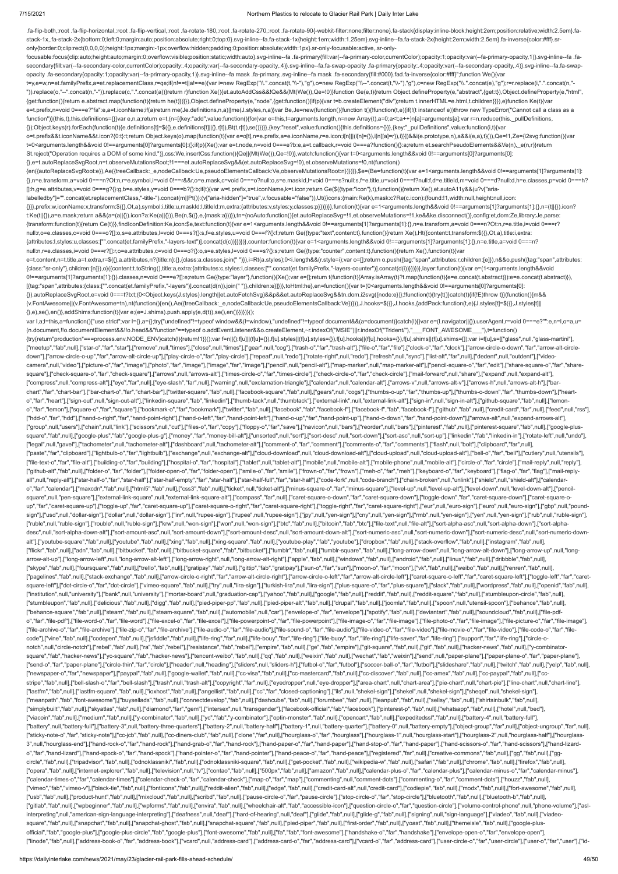.fa-flip-both,:root .fa-flip-horizontal,:root .fa-flip-vertical,:root .fa-rotate-180,:root .fa-rotate-270,:root .fa-rotate-90{-webkit-filter:none;filter:none}.fa-stack{display:inline-block;height:2em;position:relative;widt stack-1x,.fa-stack-2x{bottom:0;left:0;margin:auto;position:absolute;right:0;top:0}.svg-inline--fa.fa-stack-1x{height:1em;width:1.25em}.svg-inline--fa.fa-stack-2x{height:2em;width:2.5em}.fa-inverse{color:#fff}.sr-

only{border:0;clip:rect(0,0,0,0);height:1px;margin:-1px;overflow:hidden;padding:0;position:absolute;width:1px}.sr-only-focusable:active,.sr-only-

focusable:focus{clip:auto;height:auto;margin:0;overflow:visible;position:static;width:auto}.svg-inline--fa .fa-primary{fill:var(--fa-primary-color,currentColor);opacity:1;opacity:1-ra-primary-opacity,1)}.svg-inline--fa .fa secondary{fill:var(--fa-secondary-color,currentColor);opacity:.4;opacity:var(--fa-secondary-opacity,.4)}.svg-inline--fa.fa-swap-opacity .fa-primary{opacity:.4;opacity:.4;opacity:or(--fa-secondary-opacity.4)}.svg-inline--fa opacity .fa-secondary{opacity:1;opacity:var(--fa-primary-opacity,1)}.svg-inline--fa mask .fa-primary,.svg-inline--fa mask .fa-secondary{fill:#000}.fad.fa-inverse{color:#fff}";function We(){var t=y,e=w,n=et.familyPrefix,a=et.replacementClass,r=qe;if(n!==t||a!==e){var i=new RegExp("\\.".concat(t,"\\-"),"g"),o=new RegExp("\\--".concat(t,"\\-"),"g"),c=new RegExp("\\.".concat(e),"g");r=r.replace(i,".".concat(n,"- ")).replace(o,"--".concat(n,"-")).replace(c,".".concat(a))}return r}function Xe(){et.autoAddCss&&!Qe&&(Mt(We()),Qe=!0)}function Ge(e,t){return Object.defineProperty(e,"abstract",{get:t}),Object.defineProperty(e,"html", {get:function(){return e.abstract.map(function(t){return he(t)})}}),Object.defineProperty(e,"node",{get:function(){if(p){var t=b.createElement("div");return t.innerHTML=e.html,t.children}}}),e}function Ke(t){var e=t.prefix,n=void 0===e?"fa":e,a=t.iconName;if(a)return me(Je.definitions,n,a)||me(J.styles,n,a)}var Be,Je=new(function(){function t(){!function(t,e){if(!(t instanceof e))throw new TypeError("Cannot call a class as a function")}(this,t),this.definitions={}}var e,n,a;return e=t,(n=[{key:"add",value:function(){for(var e=this,t=arguments.length,n=new Array(t),a=0;a<t;a++)n[a]=arguments[a];var r=n.reduce(this.\_pullDefinitions, {});Object.keys(r).forEach(function(t){e.definitions[t]=\$({},e.definitions[t]||{},r[t]),Bt(t,r[t]),se()})}},{key:"reset",value:function(){this.definitions={}}},{key:"\_pullDefinitions",value:function(i,t){var o=t.prefix&&t.iconName&&t.icon?{0:t}:t;return Object.keys(o).map(function(t){var e=o[t],n=e.prefix,a=e.iconName,r=e.icon;i[n]||(i[n]={}),i[n][a]=r}),i}}])&&i(e.prototype,n),a&&i(e,a),t}()),Qe=!1,Ze={i2svg:function(){var t=0<arguments.length&&void 0!==arguments[0]?arguments[0]:{};if(p){Xe();var e=t.node,n=void 0===e?b:e,a=t.callback,r=void 0===a?function(){}:a;return et.searchPseudoElements&&Ve(n),\_e(n,r)}return St.reject("Operation requires a DOM of some kind.")},css:We,insertCss:function(){Qe||(Mt(We()),Qe=!0)},watch:function(){var t=0<arguments.length&&void 0!==arguments[0]?arguments[0]: {},e=t.autoReplaceSvgRoot,n=t.observeMutationsRoot;!1===et.autoReplaceSvg&&(et.autoReplaceSvg=!0),et.observeMutations=!0,nt(function() {en({autoReplaceSvgRoot:e}),Ae({treeCallback:\_e,nodeCallback:Ue,pseudoElementsCallback:Ve,observeMutationsRoot:n})})}},\$e=(Be=function(t){var e=1<arguments.length&&void 0!==arguments[1]?arguments[1]: {},n=e.transform,a=void 0===n?Ot:n,r=e.symbol,i=void 0!==r&&r,o=e.mask,c=void 0===o?null:o,s=e.maskId,l=void 0===s?null:s,f=e.title,u=void 0===f?null:f,d=e.titleId,m=void 0===d?null:d,h=e.classes,p=void 0===h? []:h,g=e.attributes,v=void 0===g?{}:g,b=e.styles,y=void 0===b?{}:b;if(t){var w=t.prefix,x=t.iconName,k=t.icon;return Ge(\$({type:"icon"},t),function(){return Xe(),et.autoA11y&&(u?v["arialabelledby"]="".concat(et.replacementClass,"-title-").concat(m||Pt()):(v["aria-hidden"]="true",v.focusable="false")),Ut({icons:{main:Re(k),mask:c?Re(c.icon):{found:!1,width:null,height:null,icon: {}}},prefix:w,iconName:x,transform:\$({},Ot,a),symbol:i,title:u,maskId:l,titleId:m,extra:{attributes:v,styles:y,classes:p}})})}},function(t){var e=1<arguments.length&&void 0!==arguments[1]?arguments[1]:{},n=(t||{}).icon? t:Ke(t||{}),a=e.mask;return a&&(a=(a||{}).icon?a:Ke(a||{})),Be(n,\$({},e,{mask:a}))}),tn={noAuto:function(){et.autoReplaceSvg=!1,et.observeMutations=!1,ke&&ke.disconnect()},config:et,dom:Ze,library:Je,parse: {transform:function(t){return Ce(t)}},findIconDefinition:Ke,icon:\$e,text:function(t){var e=1<arguments.length&&void 0!==arguments[1]?arguments[1]:{},n=e.transform,a=void 0===n?Ot:n,r=e.title,i=void 0===r? null:r,o=e.classes,c=void 0===o?[]:o,s=e.attributes,l=void 0===s?{}:s,f=e.styles,u=void 0===f?{}:f;return Ge({type:"text",content:t},function(){return Xe(),Ht({content:t,transform:\$({},Ot,a),title:i,extra: {attributes:l,styles:u,classes:["".concat(et.familyPrefix,"-layers-text")].concat(d(c))}})})},counter:function(t){var e=1<arguments.length&&void 0!==arguments[1]?arguments[1]:{},n=e.title,a=void 0===n? null:n,r=e.classes,i=void 0===r?[]:r,o=e.attributes,c=void 0===o?{}:o,s=e.styles,l=void 0===s?{}:s;return Ge({type:"counter",content:t},function(){return Xe(),function(t){var e=t.content,n=t.title,a=t.extra,r=\$({},a.attributes,n?{title:n}:{},{class:a.classes.join(" ")}),i=Rt(a.styles);0<i.length&&(r.style=i);var o=[];return o.push({tag:"span",attributes:r,children:[e]}),n&&o.push({tag:"span",at {class:"sr-only"},children:[n]}),o}({content:t.toString(),title:a,extra:{attributes:c,styles:l,classes:["".concat(et.familyPrefix,"-layers-counter")].concat(d(i))}})})},layer:function(t){var e=(1<arguments.length&&void 0!==arguments[1]?arguments[1]:{}).classes,n=void 0===e?[]:e;return Ge({type:"layer"},function(){Xe();var e=[];return t(function(t){Array.isArray(t)?t.map(function(t){e=e.concat(t.abstract)}):e=e.concat(t.abstract)}), [{tag:"span",attributes:{class:["".concat(et.familyPrefix,"-layers")].concat(d(n)).join(" ")},children:e}]})},toHtml:he},en=function(){var t=(0<arguments.length&&void 0!==arguments[0]?arguments[0]: {}).autoReplaceSvgRoot,e=void 0===t?b:t;(0<Object.keys(J.styles).length||et.autoFetchSvg)&&p&&et.autoReplaceSvg&&tn.dom.i2svg({node:e})};!function(t){try{t()}catch(t){if(!E)throw t}}(function(){m&& (v.FontAwesome||(v.FontAwesome=tn),nt(function(){en(),Ae({treeCallback:\_e,nodeCallback:Ue,pseudoElementsCallback:Ve})})),J.hooks=\$({},J.hooks,{addPack:function(t,e){J.styles[t]=\$({},J.styles[t]|| {},e),se(),en()},addShims:function(t){var e;(e=J.shims).push.apply(e,d(t)),se(),en()}})})}(); var l,a;l=this,a=function(){"use strict";var l={},a={};try{"undefined"!=typeof window&&(l=window),"undefined"!=typeof document&&(a=document)}catch(l){}var e=(l.navigator|{}}).userAgent,r=void 0===e?"":e,n=l,o=a,u= (n.document,!!o.documentElement&&!!o.head&&"function"==typeof o.addEventListener&&o.createElement,~r.indexOf("MSIE")||r.indexOf("Trident/"),"\_\_\_FONT\_AWESOME\_\_\_"),t=function() {try{return"production"===process.env.NODE\_ENV}catch(l){return!1}}();var f=n||{};f[u]||(f[u]={}),f[u].styles||(f[u].shyles={}),f[u].hooks||(f[u].hooks={}),f[u].shims||(f[u].shims=[]);var i=f[u],s=[["glass",null,"glass-mart ["meetup","fab",null],["star-o","far","star"],["remove",null,"times"],["close",null,"times"],["gear",null,"toog"],["trash-o","far","tarh-alt"],["file-o","far","falr","far","clock-o","far","clock"],["arrow-circle-o-down","f down"],["arrow-circle-o-up","far","arrow-alt-circle-up"],["play-circle-o","far","play-circle"],["repeat",null,"redo"],["rotate-right",null,"redo"],["refresh",null,"sync"],["list-alt","far","far","farl","dedent",null,"outde camera",null,"video"],["picture-o","far","image"],["photo","far","image"],["image","far","image"],["pencil",null,"pencil-alt"],["map-marker",null,"map-marker-alt"],["pencil-square-o","far","edit"],["share-square-o","far"," square"],["check-square-o","far","check-square"],["arrows",null,"arrows-alt"],["times-circle-o","far","times-circle"],["check-circle-o","far","check-circle-o","far","check-circle-o","far","check-circle-o","far","check-circ ["compress",null,"compress-alt"],["eye","far",null],["eye-slash","far",null],["warning",null,"exclamation-triangle"],["calendar",null,"calendar-alt"],["arrows-v",null,"arrows-alt-v"],["arrows-h",null,"arrows-alt-h"],["barchart","far","chart-bar"],["bar-chart-o","far","chart-bar"],["twitter-square","fab",null],["facebook-square","fab",null],["gears",null,"cogs"],["thumbs-o-up","far","thumbs-o-down","far","thumbs-down"],["heart-bar"],["heart o","far","heart"],["sign-out",null,"sign-out-alt"],["linkedin-square","fab","linkedin"],["thumb-tack",null,"thumbtack"],["external-link",null,"external-link-alt"],["sign-in",null,"sign-in-alt"],["github-square","fab",null] o","far","lemon"],["square-o","far","square"],["bookmark-o","far","bookmark"],["twitter","fab",null],["facebook","fab","acebook-f"],["facebook-f","fab","facebook-f"],["facebook-f"],["github","fab",null],["credit-card","far ["hdd-o","far","hdd"],["hand-o-right","far","hand-point-right"],["hand-o-left","far","hand-point-left"],["hand-o-up","far","hand-point-up"],["hand-o-down","far","hand-point-down"],["arrows-alt",null,"expand-arrows-alt"], ["group",null,"users"],["chain",null,"link"],["scissors",null,"cut"],["files-o","far","copy"],["floppy-o","far","save"],["navicon",null,"bars"],["reorder",null,"bars"],["pinterest',"fab",null],["pinterest-square","fab",nul square","fab",null],["google-plus","fab","google-plus-g"],["money","far","money-bill-alt"],["unsorted",null,"sort-desc",null,"sort-down"],["sort-asc",null,"sort-up"],["inkedin","fab","linkedin-in"],["rotate-left",null,"und ["legal",null,"gavel"],["tachometer",null,"tachometer-alt"],["dashboard",null,"tachometer-alt"],["comment-o","far","comment"],["comments-o","far","comments"],["flash",null,"bolt"],["clipboard","far",null], ["paste","far","clipboard"],["lightbulb-o","far","lightbulb"],["exchange",null,"exchange-alt"],["cloud-download",null,"cloud-download-alt"],["cloud-upload-alt"],["cloud-alt"],["bell-o","far","bell"],["cutlery",null,"utensi ["file-text-o","far","file-alt"],["building-o","far","building"],["hospital-o","far","hospital-],["tablet",null,"tablet-alt"],["mobile-nt"],["mobile-phone",null,"mobile-alt"],["mobile-alt"],["circle-o","far","circle"],["ma ["github-alt","fab",null],["folder-o","far","folder"],["folder-open-o","far","folder-open"],["smile-o","far","smile"],["fown-o","far","fown"],["meh-o","far","meh"],["keyboard-o","far","keyboard"],["flag-o","far","flag"],[" all",null,"reply-all"],["star-half-o","far","star-half"],["star-half-empty","far","star-half"],["star-half-full","far","star-halff"],["star-half-full","far","star-half-full","far","star-half"],["code-fork",null,"code-branc o","far","calendar"],["maxcdn","fab",null],["html5","fab",null],["css3","fab",null],["css3","fab",null],["cket",null],"thcket-alt"],["minus-square-o","far","minus-square"],["level-up",null,"level-up-alt"],["level-down",nul square",null,"pen-square"],["external-link-square",null,"external-link-square-alt"],["compass","far",null],["caret-square-o-down","far","caret-square-down"],["toggle-down","far","caret-square-down"],["caret-square-down"],[ up","far","caret-square-up"),["toggle-up","far","caret-square-up"],["caret-square-o-right","far","caret-square-right"],["toggle-right","far","caret-square-right"],["toggle-right"],["caret-square-square-ight"],["euro",null, sign"],["usd",null,"dollar-sign"],["dollar",null,"dollar-sign"],["inr",null,"rupee-sign"],["inpee-sign"],["inpee-sign"],["inpee-sign"],["ppy",null,"yen-sign"],["cny",null,"yen-sign"],["mb",null,"yen-sign"],["yen",null,"yen ["ruble",null,"ruble-sign"],["rouble",null,"ruble-sign"],["krw",null,"won-sign"],["won",null,"won-sign"],["btc","fab",null],["bitcoin","fab","btc"],["fle-text",null,"file-alt"],["sort-alpha-asc",null,"sort-alpha-down"],["s desc",null,"sort-alpha-down-alt"],["sort-amount-asc",null,"sort-amount-down"],["sort-amount-desc",null,"sort-amount-down-alt"],["sort-numeric-asc",null,"sort-numeric-down"],["sort-numeric-desc",null,"sort-numeric-down-alt" alt"],["youtube-square","fab",null],["youtube","fab",null],["xing","fab",null],["xing-square","fab",null],["youtube-play","fab","youtube"],["dropbox","fab",null],["stack-overflow","fab",null],["instagram","fab",null], ["flickr","fab",null],["adn","fab",null],["bitbucket","fab",null],["bitbucket-square","fab","bitbucket-square","fab","bitbucket"],["tumblr","fab",null],["tumblr","fab",null],["tumblr","fab",null],["tumblr","fab",null],["tu arrow-alt-up"],["long-arrow-left",null,"long-arrow-alt-left"],["long-arrow-right",null,"long-arrow-alt-right"],["apple","fab",null],["windows","fab",null],["android","fab",null],["linux","fab",null],["dribbble","fab",null], ["skype","fab",null],["foursquare","fab",null],["trello","fab",null],["gratipay","fab",null],["gritip?","fab","gratipay"],["stip","fab","gratipay"],["san-o","far","sun"],["moon-o","far","moon"],["weibo","fab",null],["weibo ["pagelines","fab",null],["stack-exchange","fab",null],["arrow-circle-o-right","far","arrow-alt-circle-right"],["arrow-circle-o-left","far","arrow-alt-circle-o-left","far","arrow-alt-circle-o-left","far","arrow-alt-circlesquare-left"],["dot-circle-o","far","dot-circle"],["vimeo-square","fab",null],["try",null,"lira-sign"],["turkish-lira",null,"lira-sign"],["plus-square-o","far","plus-square"],["slack","fab",null],["wordpress","fab",null],[ ["institution",null,"university"],["bank",null,"university"],["mortar-board",null,"graduation-cap"],["yahoo","fab",null],["google","fab",null],["reddit-square","fab",null],["stumbleupon-circle","fab",null], ["stumbleupon","fab",null],["delicious","fab",null],["digg","fab",null],["pied-piper-pp","fab",null],["pied-piper-alt","fab",null],["dornal","fab",null],["joomla","fab",null],["joomla","fab",null],["spoon",null,"utensil-sp ["behance-square","fab",null],["steam","fab",null],["steam-square","fab",null],["automobile",null,"car"],["envelope-o","far","envelope"],["spotify","fab",null],["deviantart","fab",null],["soundcloud","fab",null],["file-pdfo","far","file-pdf"],["file-word-o","far","file-word"],["file-excel-o","far","file-excel"],["file-excel=o","far","file-excel-o","far","file-powerpoint-o","far","file-powerpoint"],["file-image-o","far","file-image"],["file-["file-archive-o","far","file-archive"],["file-zip-o","far","file-archive"],["file-audio-o","far","file-audio"],["file-sudio"],["file-sound-o","far","file-sudio"],["file-video-o","far","file-video"],["file-movie-o","far"," code"],["vine","fab",null],["codepen","fab",null],["jsfiddle","fab",null],["life-ring","far",null],["life-bouy","far","life-ring"],["life-buoy","far","life-buoy","far","life-ring"],["life-saver","far","life-ring"],["suppor notch",null,"circle-notch"],["rebel","fab",null],["ra","fab","rebel"],["resistance","fab","rebel"],["empire","fab",null],["ge","fab","empire"],["git-square","fab",null],["git","fab",null],["git","fab",null],["hacker-news", square","fab","hacker-news"],["yc-square","fab","hacker-news"],["tencent-weibo","fab",null],["qq","fab",null],["weixin","fab",null],["wechat","fab","weixin"],["send",null,"paper-plane"],["paper-plane-o","far","paper-plane" ["send-o","far","paper-plane"],["circle-thin","far","circle"],["header",null,"heading"],["sliders",null,"sliders-h"],["tutbol-o","far","futbol"],["soccer-ball-o","far","futbol"],["slideshare","fab",null],["yitch","fab",nul ["newspaper-o","far","newspaper"],["paypal","fab",null],["google-wallet","fab",null],["cc-visa","fab",null],["cc-mastercard","fab",null],["cc-discover","fab",null],["cc-amex","fab",null],["cc-paypal","fab",null],["ccstripe","fab",null],["bell-slash-o","far","bell-slash'],["trash",null,"trash-alt"],["copyright","far",null],["eyedropper",null,"eve-dropper"],["area-chart",null,"chart-area"],["pie-chart",null,"chart-pie"],["line-chart",nu ["lastfm","fab",null],["lastfm-square","fab",null],["ioxhost","fab",null],["angellist","fab",null],["cc","far","closed-captioning"],["ils",null,"shekel-sign"],["shekel",null,"shekel-sign"],["sheqel",null,"shekel-sign"], ["meanpath","fab","font-awesome"],["buysellads","fab",null],["connectdevelop","fab",null],["dashcube","fab",null],["forumbee","fab",null],["leanpub","fab",null],["sellsy","fab",null],["shirtsinbulk","fab",null], ["simplybuilt","fab",null],["skyatlas","fab",null],["diamond","far","gem"],["intersex",null,"transgender"],["facebook-official","fab","facebook"],["pinterest-p","fab",null],["whatsapp","fab",null],["hotel",null,"bed"], ["viacoin","fab",null],["medium","fab",null],["y-combinator","fab",null],["yc","fab","y-combinator"],["optin-monster","fab",null],["opencart","fab",null],["expeditedssl","fab",null],["battery-4",null,"battery-full"], ["battery",null,"battery-full"],["battery-3",null,"battery-three-quarters"],["battery-2",null,"battery-half"],["battery-1",null,"battery-quarter"],["battery-0",null,"battery-0",null,"battery-empty"],["object-group","far",n ["sticky-note-o","far","sticky-note"],["cc-jcb","fab",null],["cc-diners-club","fab",null],["clone","far",null],["hourglass-o","far","hourglass-1",null,["hourglass-1",null,"hourglass-start"],["hourglass-start"],["hourglass-3",null,"hourglass-end"],["hand-rock-o","far","hand-rock"],["hand-grab-o","far","hand-rock"],["hand-paper-o","far","hand-paper"],["hand-scissors-o","far","hand-scissors-o","far","hand-scissors"],["hand-lizardo","far","hand-lizard"],["hand-spock-o","far","hand-spock"],["hand-pointer-o","far","hand-pointer"],["hand-peace-o","far","hand-peace"],["registered","far",null],["creative-commons","fab",null],["gg","fab",null],["ggcircle","fab",null],["tripadvisor","fab",null],["odnoklassniki","fab",null],["odnoklassniki-square","fab",null],["get-pocket","fab",null],["wikipedia-w","fab",null],["safari","fab",null],["chrome","fab",null],["firefox","f ["opera","fab",null],["internet-explorer","fab",null],["television",null,"tv"],["contao","fab",null],["500px","fab",null],["amazon","fab",null],["calendar-plus-o","fat","calendar-plus"],["calendar-minus-o","far","calendar-["calendar-times-o","far","calendar-times"],["calendar-check-o","far","calendar-check"],["map-o","far","map"],["commenting",null,"comment-dots"],["commenting-o","far","comment-dots"],["houzz","fab",null], ["vimeo","fab","vimeo-v"],["black-tie","fab",null],["fonticons","fab",null],["reddit-alien","fab",null],["edge","fab",null],["cedit-card-alt",null],["credit-card-alt",null],["credit-card-alt",null],["codiepie","fab",null], ["usb","fab",null],["product-hunt","fab",null],["mixcloud","fab",null],["scribd","fab",null],["pause-circle-o","far","pause-circle"],["stop-circle-o","far","stop-circle"],["bluetooth","fab",null],["bluetooth-b","fab",null] ["gitlab","fab",null],["wpbeginner","fab",null],["wpforms","fab",null],["envira","fab",null],["wheelchair-alt","fab","ab","accessible-icon"],["question-circle-o","far","question-circle"],["volume-control-phone",null,"phone interpreting",null,"american-sign-language-interpreting"],["deafness",null,"deaf"],["hard-of-hearing",null,"deaf"],["glide","fab",null],["glide-g","fab",null],["signing",null,"sign-language"],["viadeo","fab",null],["viadeosquare","fab",null],["snapchat","fab",null],["snapchat-ghost","fab",null],["snapchat-square","fab",null],["pied-piper","fab",null],["first-order","fab",null],["yoast","fab",null],["themeisle","fab",null],["google-plusofficial","fab","google-plus"],["google-plus-circle","fab","google-plus"],["font-awesome","fab",null],["fa","fab","font-awesome"],["handshake-o","far","handshake"],["envelope-open-o","far","envelope-open"], ["linode","fab",null],["address-book-o","far","address-book"],["vcard",null,"address-card"],["address-card-o","far","address-card"],["vcard-o","far","address-card"],["wcard",address-card"],["user-circle-o","far","user-circ